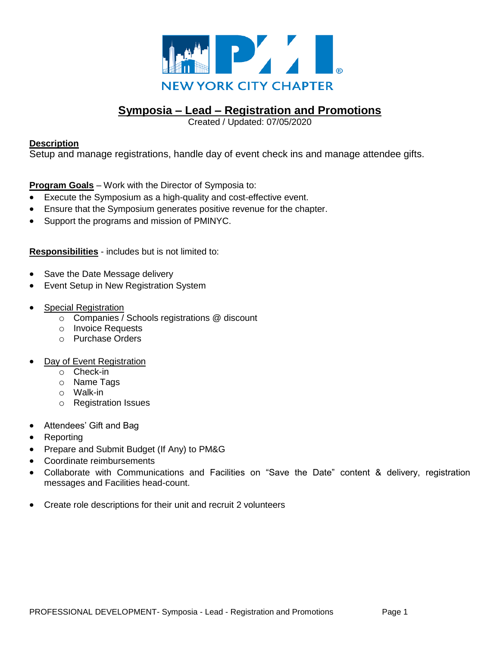

# **Symposia – Lead – Registration and Promotions**

Created / Updated: 07/05/2020

### **Description**

Setup and manage registrations, handle day of event check ins and manage attendee gifts.

**Program Goals** – Work with the Director of Symposia to:

- Execute the Symposium as a high-quality and cost-effective event.
- Ensure that the Symposium generates positive revenue for the chapter.
- Support the programs and mission of PMINYC.

**Responsibilities** - includes but is not limited to:

- Save the Date Message delivery
- Event Setup in New Registration System
- Special Registration
	- o Companies / Schools registrations @ discount
	- o Invoice Requests
	- o Purchase Orders
- Day of Event Registration
	- o Check-in
	- o Name Tags
	- o Walk-in
	- o Registration Issues
- Attendees' Gift and Bag
- Reporting
- Prepare and Submit Budget (If Any) to PM&G
- Coordinate reimbursements
- Collaborate with Communications and Facilities on "Save the Date" content & delivery, registration messages and Facilities head-count.
- Create role descriptions for their unit and recruit 2 volunteers